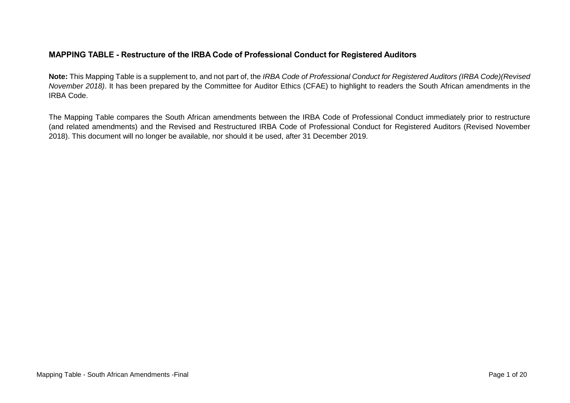## **MAPPING TABLE - Restructure of the IRBA Code of Professional Conduct for Registered Auditors**

**Note:** This Mapping Table is a supplement to, and not part of, the *IRBA Code of Professional Conduct for Registered Auditors (IRBA Code)(Revised November 2018)*. It has been prepared by the Committee for Auditor Ethics (CFAE) to highlight to readers the South African amendments in the IRBA Code.

The Mapping Table compares the South African amendments between the IRBA Code of Professional Conduct immediately prior to restructure (and related amendments) and the Revised and Restructured IRBA Code of Professional Conduct for Registered Auditors (Revised November 2018). This document will no longer be available, nor should it be used, after 31 December 2019.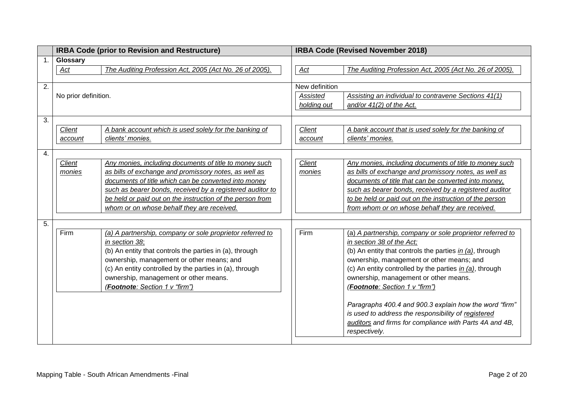|    | <b>IRBA Code (prior to Revision and Restructure)</b> |                                                           | <b>IRBA Code (Revised November 2018)</b> |                                                           |  |
|----|------------------------------------------------------|-----------------------------------------------------------|------------------------------------------|-----------------------------------------------------------|--|
| 1. | Glossary                                             |                                                           |                                          |                                                           |  |
|    | Act                                                  | The Auditing Profession Act, 2005 (Act No. 26 of 2005).   | $\mathbf{Act}$                           | The Auditing Profession Act, 2005 (Act No. 26 of 2005).   |  |
|    |                                                      |                                                           |                                          |                                                           |  |
| 2. |                                                      |                                                           | New definition                           |                                                           |  |
|    | No prior definition.                                 |                                                           | Assisted                                 | Assisting an individual to contravene Sections 41(1)      |  |
|    |                                                      |                                                           | holding out                              | and/or $41(2)$ of the Act.                                |  |
| 3. |                                                      |                                                           |                                          |                                                           |  |
|    | <b>Client</b>                                        | A bank account which is used solely for the banking of    | <b>Client</b>                            | A bank account that is used solely for the banking of     |  |
|    | account                                              | clients' monies.                                          | account                                  | clients' monies.                                          |  |
|    |                                                      |                                                           |                                          |                                                           |  |
| 4. |                                                      |                                                           |                                          |                                                           |  |
|    | Client                                               | Any monies, including documents of title to money such    | Client                                   | Any monies, including documents of title to money such    |  |
|    | monies                                               | as bills of exchange and promissory notes, as well as     | monies                                   | as bills of exchange and promissory notes, as well as     |  |
|    |                                                      | documents of title which can be converted into money      |                                          | documents of title that can be converted into money,      |  |
|    |                                                      | such as bearer bonds, received by a registered auditor to |                                          | such as bearer bonds, received by a registered auditor    |  |
|    |                                                      | be held or paid out on the instruction of the person from |                                          | to be held or paid out on the instruction of the person   |  |
|    |                                                      | whom or on whose behalf they are received.                |                                          | from whom or on whose behalf they are received.           |  |
| 5. |                                                      |                                                           |                                          |                                                           |  |
|    | Firm                                                 | (a) A partnership, company or sole proprietor referred to | Firm                                     | (a) A partnership, company or sole proprietor referred to |  |
|    |                                                      | in section 38;                                            |                                          | in section 38 of the Act;                                 |  |
|    |                                                      | (b) An entity that controls the parties in (a), through   |                                          | (b) An entity that controls the parties in (a), through   |  |
|    |                                                      | ownership, management or other means; and                 |                                          | ownership, management or other means; and                 |  |
|    |                                                      | (c) An entity controlled by the parties in (a), through   |                                          | (c) An entity controlled by the parties in (a), through   |  |
|    |                                                      | ownership, management or other means.                     |                                          | ownership, management or other means.                     |  |
|    |                                                      | (Footnote: Section 1 v "firm")                            |                                          | (Footnote: Section 1 v "firm")                            |  |
|    |                                                      |                                                           |                                          |                                                           |  |
|    |                                                      |                                                           |                                          | Paragraphs 400.4 and 900.3 explain how the word "firm"    |  |
|    |                                                      |                                                           |                                          | is used to address the responsibility of registered       |  |
|    |                                                      |                                                           |                                          | auditors and firms for compliance with Parts 4A and 4B,   |  |
|    |                                                      |                                                           |                                          | respectively.                                             |  |
|    |                                                      |                                                           |                                          |                                                           |  |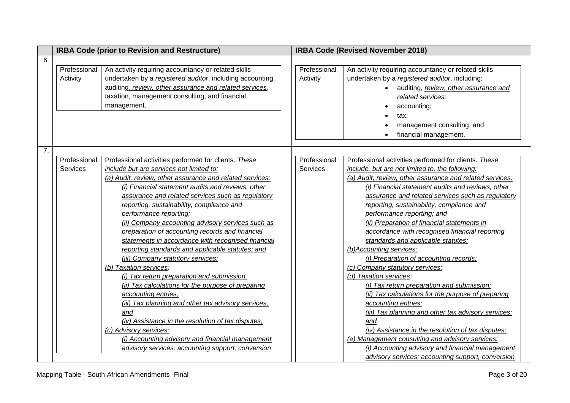|    |                                 | <b>IRBA Code (prior to Revision and Restructure)</b>                                                                                                                                                                                                                                                                                                                                                                                                                                                                                                                                                                                                                                                                                                                                                                                                                                                                                                                                                             | <b>IRBA Code (Revised November 2018)</b> |                                                                                                                                                                                                                                                                                                                                                                                                                                                                                                                                                                                                                                                                                                                                                                                                                                                                                                                                                                                                                                               |  |
|----|---------------------------------|------------------------------------------------------------------------------------------------------------------------------------------------------------------------------------------------------------------------------------------------------------------------------------------------------------------------------------------------------------------------------------------------------------------------------------------------------------------------------------------------------------------------------------------------------------------------------------------------------------------------------------------------------------------------------------------------------------------------------------------------------------------------------------------------------------------------------------------------------------------------------------------------------------------------------------------------------------------------------------------------------------------|------------------------------------------|-----------------------------------------------------------------------------------------------------------------------------------------------------------------------------------------------------------------------------------------------------------------------------------------------------------------------------------------------------------------------------------------------------------------------------------------------------------------------------------------------------------------------------------------------------------------------------------------------------------------------------------------------------------------------------------------------------------------------------------------------------------------------------------------------------------------------------------------------------------------------------------------------------------------------------------------------------------------------------------------------------------------------------------------------|--|
| 6. |                                 |                                                                                                                                                                                                                                                                                                                                                                                                                                                                                                                                                                                                                                                                                                                                                                                                                                                                                                                                                                                                                  |                                          |                                                                                                                                                                                                                                                                                                                                                                                                                                                                                                                                                                                                                                                                                                                                                                                                                                                                                                                                                                                                                                               |  |
|    | Professional<br>Activity        | An activity requiring accountancy or related skills<br>undertaken by a registered auditor, including accounting,<br>auditing, review, other assurance and related services,<br>taxation, management consulting, and financial<br>management.                                                                                                                                                                                                                                                                                                                                                                                                                                                                                                                                                                                                                                                                                                                                                                     | Professional<br>Activity                 | An activity requiring accountancy or related skills<br>undertaken by a registered auditor, including:<br>auditing, review, other assurance and<br>related services;<br>accounting;<br>tax;<br>management consulting; and<br>financial management.                                                                                                                                                                                                                                                                                                                                                                                                                                                                                                                                                                                                                                                                                                                                                                                             |  |
| 7. |                                 |                                                                                                                                                                                                                                                                                                                                                                                                                                                                                                                                                                                                                                                                                                                                                                                                                                                                                                                                                                                                                  |                                          |                                                                                                                                                                                                                                                                                                                                                                                                                                                                                                                                                                                                                                                                                                                                                                                                                                                                                                                                                                                                                                               |  |
|    | Professional<br><b>Services</b> | Professional activities performed for clients. These<br>include but are services not limited to:<br>(a) Audit, review, other assurance and related services:<br>(i) Financial statement audits and reviews, other<br>assurance and related services such as regulatory<br>reporting, sustainability, compliance and<br>performance reporting;<br>(ii) Company accounting advisory services such as<br>preparation of accounting records and financial<br>statements in accordance with recognised financial<br>reporting standards and applicable statutes; and<br>(iii) Company statutory services;<br>(b) Taxation services:<br>(i) Tax return preparation and submission,<br>(ii) Tax calculations for the purpose of preparing<br>accounting entries,<br>(iii) Tax planning and other tax advisory services,<br>and<br>(iv) Assistance in the resolution of tax disputes;<br>(c) Advisory services:<br>(i) Accounting advisory and financial management<br>advisory services: accounting support, conversion | Professional<br>Services                 | Professional activities performed for clients. These<br>include, but are not limited to, the following:<br>(a) Audit, review, other assurance and related services:<br>(i) Financial statement audits and reviews, other<br>assurance and related services such as regulatory<br>reporting, sustainability, compliance and<br>performance reporting; and<br>(ii) Preparation of financial statements in<br>accordance with recognised financial reporting<br>standards and applicable statutes;<br>(b)Accounting services:<br>(i) Preparation of accounting records;<br>(c) Company statutory services;<br>(d) Taxation services:<br>(i) Tax return preparation and submission;<br>(ii) Tax calculations for the purpose of preparing<br>accounting entries;<br>(iii) Tax planning and other tax advisory services;<br>and<br>(iv) Assistance in the resolution of tax disputes;<br>(e) Management consulting and advisory services:<br>(i) Accounting advisory and financial management<br>advisory services; accounting support, conversion |  |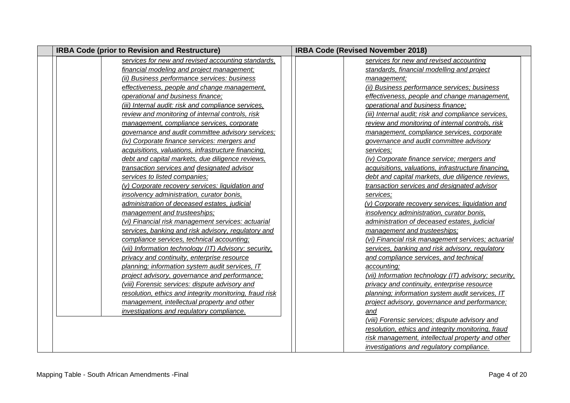| <b>IRBA Code (prior to Revision and Restructure)</b>    | <b>IRBA Code (Revised November 2018)</b>              |
|---------------------------------------------------------|-------------------------------------------------------|
| services for new and revised accounting standards,      | services for new and revised accounting               |
| financial modeling and project management;              | standards, financial modelling and project            |
| (ii) Business performance services: business            | management;                                           |
| effectiveness, people and change management,            | (ii) Business performance services; business          |
| operational and business finance;                       | effectiveness, people and change management,          |
| (iii) Internal audit: risk and compliance services,     | operational and business finance;                     |
| review and monitoring of internal controls, risk        | (iii) Internal audit; risk and compliance services,   |
| management, compliance services, corporate              | review and monitoring of internal controls, risk      |
| governance and audit committee advisory services;       | management, compliance services, corporate            |
| (iv) Corporate finance services: mergers and            | governance and audit committee advisory               |
| acquisitions, valuations, infrastructure financing,     | services:                                             |
| debt and capital markets, due diligence reviews,        | (iv) Corporate finance service; mergers and           |
| transaction services and designated advisor             | acquisitions, valuations, infrastructure financing,   |
| services to listed companies;                           | debt and capital markets, due diligence reviews,      |
| (v) Corporate recovery services: liquidation and        | transaction services and designated advisor           |
| insolvency administration, curator bonis,               | services;                                             |
| administration of deceased estates, judicial            | (v) Corporate recovery services; liquidation and      |
| management and trusteeships;                            | insolvency administration, curator bonis,             |
| (vi) Financial risk management services: actuarial      | administration of deceased estates, judicial          |
| services, banking and risk advisory, regulatory and     | management and trusteeships;                          |
| compliance services, technical accounting;              | (vi) Financial risk management services; actuarial    |
| (vii) Information technology (IT) Advisory: security,   | services, banking and risk advisory, regulatory       |
| privacy and continuity, enterprise resource             | and compliance services, and technical                |
| planning; information system audit services, IT         | accounting;                                           |
| project advisory, governance and performance;           | (vii) Information technology (IT) advisory; security, |
| (viii) Forensic services: dispute advisory and          | privacy and continuity, enterprise resource           |
| resolution, ethics and integrity monitoring, fraud risk | planning; information system audit services, IT       |
| management, intellectual property and other             | project advisory, governance and performance;         |
| investigations and regulatory compliance.               | and                                                   |
|                                                         | (viii) Forensic services; dispute advisory and        |
|                                                         | resolution, ethics and integrity monitoring, fraud    |
|                                                         | risk management, intellectual property and other      |
|                                                         | investigations and regulatory compliance.             |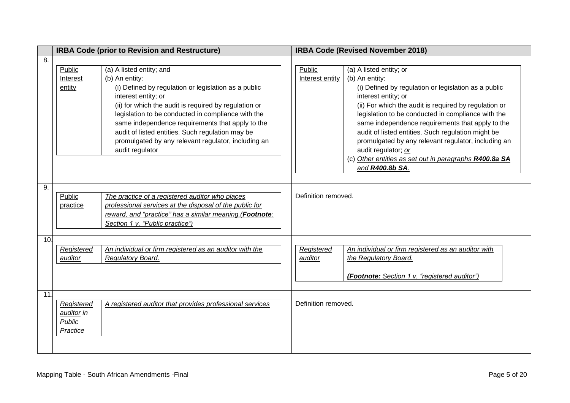|     | <b>IRBA Code (prior to Revision and Restructure)</b>  |                                                                                                                                                                                                                                                                                                                                                                                                                            | <b>IRBA Code (Revised November 2018)</b> |                                                                                                                                                                                                                                                                                                                                                                                                                                                                                                              |  |
|-----|-------------------------------------------------------|----------------------------------------------------------------------------------------------------------------------------------------------------------------------------------------------------------------------------------------------------------------------------------------------------------------------------------------------------------------------------------------------------------------------------|------------------------------------------|--------------------------------------------------------------------------------------------------------------------------------------------------------------------------------------------------------------------------------------------------------------------------------------------------------------------------------------------------------------------------------------------------------------------------------------------------------------------------------------------------------------|--|
| 8.  |                                                       |                                                                                                                                                                                                                                                                                                                                                                                                                            |                                          |                                                                                                                                                                                                                                                                                                                                                                                                                                                                                                              |  |
|     | Public<br>Interest<br>entity                          | (a) A listed entity; and<br>(b) An entity:<br>(i) Defined by regulation or legislation as a public<br>interest entity; or<br>(ii) for which the audit is required by regulation or<br>legislation to be conducted in compliance with the<br>same independence requirements that apply to the<br>audit of listed entities. Such regulation may be<br>promulgated by any relevant regulator, including an<br>audit regulator | Public<br>Interest entity                | (a) A listed entity; or<br>(b) An entity:<br>(i) Defined by regulation or legislation as a public<br>interest entity; or<br>(ii) For which the audit is required by regulation or<br>legislation to be conducted in compliance with the<br>same independence requirements that apply to the<br>audit of listed entities. Such regulation might be<br>promulgated by any relevant regulator, including an<br>audit regulator; or<br>(c) Other entities as set out in paragraphs R400.8a SA<br>and R400.8b SA. |  |
| 9.  | Public<br>practice                                    | The practice of a registered auditor who places<br>professional services at the disposal of the public for<br>reward, and "practice" has a similar meaning. (Footnote:<br>Section 1 v. "Public practice")                                                                                                                                                                                                                  | Definition removed.                      |                                                                                                                                                                                                                                                                                                                                                                                                                                                                                                              |  |
| 10. | <b>Registered</b><br>auditor                          | An individual or firm registered as an auditor with the<br>Regulatory Board.                                                                                                                                                                                                                                                                                                                                               | <b>Registered</b><br>auditor             | An individual or firm registered as an auditor with<br>the Regulatory Board.<br>(Footnote: Section 1 v. "registered auditor")                                                                                                                                                                                                                                                                                                                                                                                |  |
| 11. | Registered<br>auditor in<br><b>Public</b><br>Practice | A registered auditor that provides professional services                                                                                                                                                                                                                                                                                                                                                                   | Definition removed.                      |                                                                                                                                                                                                                                                                                                                                                                                                                                                                                                              |  |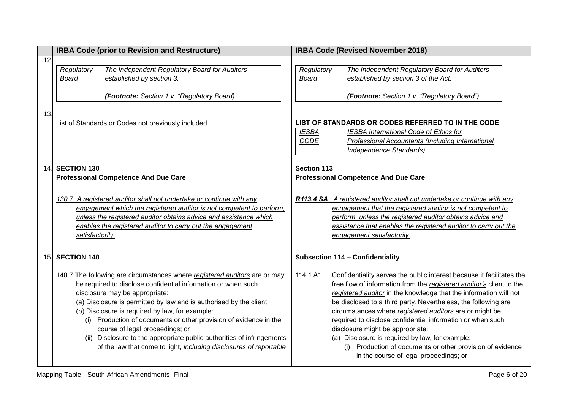|     | <b>IRBA Code (prior to Revision and Restructure)</b>                 |                                                                            |                                                                         | <b>IRBA Code (Revised November 2018)</b>                              |  |  |
|-----|----------------------------------------------------------------------|----------------------------------------------------------------------------|-------------------------------------------------------------------------|-----------------------------------------------------------------------|--|--|
| 12. |                                                                      |                                                                            |                                                                         |                                                                       |  |  |
|     | Regulatory                                                           | The Independent Regulatory Board for Auditors                              | Regulatory                                                              | The Independent Regulatory Board for Auditors                         |  |  |
|     | <b>Board</b>                                                         | established by section 3.                                                  | <b>Board</b>                                                            | established by section 3 of the Act.                                  |  |  |
|     |                                                                      |                                                                            |                                                                         |                                                                       |  |  |
|     |                                                                      | (Footnote: Section 1 v. "Regulatory Board)                                 |                                                                         | (Footnote: Section 1 v. "Regulatory Board")                           |  |  |
|     |                                                                      |                                                                            |                                                                         |                                                                       |  |  |
| 13. |                                                                      |                                                                            |                                                                         |                                                                       |  |  |
|     |                                                                      | List of Standards or Codes not previously included                         |                                                                         | LIST OF STANDARDS OR CODES REFERRED TO IN THE CODE                    |  |  |
|     |                                                                      |                                                                            | <b>IESBA</b>                                                            | IESBA International Code of Ethics for                                |  |  |
|     |                                                                      |                                                                            | CODE                                                                    | Professional Accountants (Including International                     |  |  |
|     |                                                                      |                                                                            |                                                                         | Independence Standards)                                               |  |  |
|     |                                                                      |                                                                            |                                                                         |                                                                       |  |  |
| 14. | <b>SECTION 130</b>                                                   |                                                                            | <b>Section 113</b>                                                      |                                                                       |  |  |
|     |                                                                      | <b>Professional Competence And Due Care</b>                                |                                                                         | <b>Professional Competence And Due Care</b>                           |  |  |
|     |                                                                      |                                                                            |                                                                         |                                                                       |  |  |
|     | 130.7 A registered auditor shall not undertake or continue with any  |                                                                            | R113.4 SA A registered auditor shall not undertake or continue with any |                                                                       |  |  |
|     | engagement which the registered auditor is not competent to perform, |                                                                            | engagement that the registered auditor is not competent to              |                                                                       |  |  |
|     |                                                                      | unless the registered auditor obtains advice and assistance which          |                                                                         | perform, unless the registered auditor obtains advice and             |  |  |
|     |                                                                      | enables the registered auditor to carry out the engagement                 |                                                                         | assistance that enables the registered auditor to carry out the       |  |  |
|     | satisfactorily.                                                      |                                                                            | engagement satisfactorily.                                              |                                                                       |  |  |
|     |                                                                      |                                                                            |                                                                         |                                                                       |  |  |
| 15. | <b>SECTION 140</b>                                                   |                                                                            |                                                                         | <b>Subsection 114 - Confidentiality</b>                               |  |  |
|     |                                                                      |                                                                            |                                                                         |                                                                       |  |  |
|     |                                                                      | 140.7 The following are circumstances where registered auditors are or may | 114.1 A1                                                                | Confidentiality serves the public interest because it facilitates the |  |  |
|     |                                                                      | be required to disclose confidential information or when such              |                                                                         | free flow of information from the registered auditor's client to the  |  |  |
|     |                                                                      | disclosure may be appropriate:                                             |                                                                         | registered auditor in the knowledge that the information will not     |  |  |
|     |                                                                      | (a) Disclosure is permitted by law and is authorised by the client;        |                                                                         | be disclosed to a third party. Nevertheless, the following are        |  |  |
|     | (b) Disclosure is required by law, for example:                      |                                                                            |                                                                         | circumstances where registered auditors are or might be               |  |  |
|     |                                                                      | (i) Production of documents or other provision of evidence in the          |                                                                         | required to disclose confidential information or when such            |  |  |
|     |                                                                      |                                                                            |                                                                         |                                                                       |  |  |
|     |                                                                      | course of legal proceedings; or                                            |                                                                         | disclosure might be appropriate:                                      |  |  |
|     |                                                                      | (ii) Disclosure to the appropriate public authorities of infringements     |                                                                         | (a) Disclosure is required by law, for example:                       |  |  |
|     |                                                                      | of the law that come to light, including disclosures of reportable         |                                                                         | (i) Production of documents or other provision of evidence            |  |  |
|     |                                                                      |                                                                            |                                                                         | in the course of legal proceedings; or                                |  |  |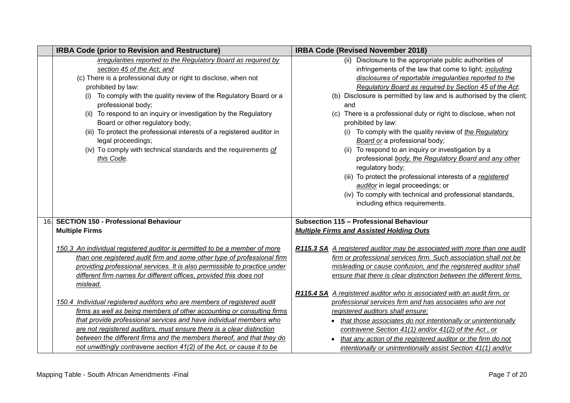|                 | <b>IRBA Code (prior to Revision and Restructure)</b>                                 | <b>IRBA Code (Revised November 2018)</b>                                  |
|-----------------|--------------------------------------------------------------------------------------|---------------------------------------------------------------------------|
|                 | irregularities reported to the Regulatory Board as required by                       | (ii) Disclosure to the appropriate public authorities of                  |
|                 | section 45 of the Act; and                                                           | infringements of the law that come to light; <i>including</i>             |
|                 | (c) There is a professional duty or right to disclose, when not                      | disclosures of reportable irregularities reported to the                  |
|                 | prohibited by law:                                                                   | Regulatory Board as required by Section 45 of the Act;                    |
|                 | To comply with the quality review of the Regulatory Board or a<br>professional body; | Disclosure is permitted by law and is authorised by the client;<br>and    |
|                 | (ii) To respond to an inquiry or investigation by the Regulatory                     | (c) There is a professional duty or right to disclose, when not           |
|                 | Board or other regulatory body;                                                      | prohibited by law:                                                        |
|                 | (iii) To protect the professional interests of a registered auditor in               | (i) To comply with the quality review of the Regulatory                   |
|                 | legal proceedings;                                                                   | Board or a professional body;                                             |
|                 | (iv) To comply with technical standards and the requirements of                      | (ii) To respond to an inquiry or investigation by a                       |
|                 | this Code.                                                                           | professional body, the Regulatory Board and any other                     |
|                 |                                                                                      | regulatory body;                                                          |
|                 |                                                                                      | (iii) To protect the professional interests of a registered               |
|                 |                                                                                      | auditor in legal proceedings; or                                          |
|                 |                                                                                      | (iv) To comply with technical and professional standards,                 |
|                 |                                                                                      | including ethics requirements.                                            |
|                 |                                                                                      |                                                                           |
| 16 <sub>1</sub> | <b>SECTION 150 - Professional Behaviour</b>                                          | Subsection 115 - Professional Behaviour                                   |
|                 | <b>Multiple Firms</b>                                                                | <b>Multiple Firms and Assisted Holding Outs</b>                           |
|                 | 150.3 An individual registered auditor is permitted to be a member of more           | R115.3 SA A registered auditor may be associated with more than one audit |
|                 | than one registered audit firm and some other type of professional firm              | firm or professional services firm. Such association shall not be         |
|                 | providing professional services. It is also permissible to practice under            | misleading or cause confusion, and the registered auditor shall           |
|                 | different firm names for different offices, provided this does not                   | ensure that there is clear distinction between the different firms.       |
|                 | mislead.                                                                             |                                                                           |
|                 |                                                                                      | R115.4 SA A registered auditor who is associated with an audit firm, or   |
|                 | 150.4 Individual registered auditors who are members of registered audit             | professional services firm and has associates who are not                 |
|                 | firms as well as being members of other accounting or consulting firms               | registered auditors shall ensure:                                         |
|                 | that provide professional services and have individual members who                   | that those associates do not intentionally or unintentionally             |
|                 | are not registered auditors, must ensure there is a clear distinction                | contravene Section 41(1) and/or 41(2) of the Act, or                      |
|                 | between the different firms and the members thereof, and that they do                | that any action of the registered auditor or the firm do not              |
|                 | not unwittingly contravene section 41(2) of the Act, or cause it to be               | intentionally or unintentionally assist Section 41(1) and/or              |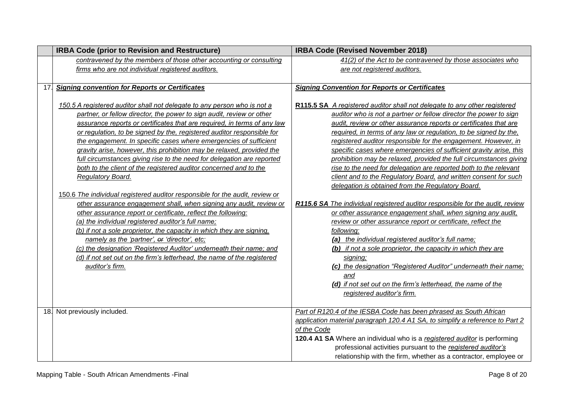|     | <b>IRBA Code (prior to Revision and Restructure)</b>                                                                                                                                                                                                                                                                                                                                                                                                                                                                                                                                                                                                                                                                                                                                                                                                                                                                                                                                                                                                                                                                                                                                                  | <b>IRBA Code (Revised November 2018)</b>                                                                                                                                                                                                                                                                                                                                                                                                                                                                                                                                                                                                                                                                                                                                                                                                                                                                                                                                                                                                                                                                                                                                                                                                      |  |  |
|-----|-------------------------------------------------------------------------------------------------------------------------------------------------------------------------------------------------------------------------------------------------------------------------------------------------------------------------------------------------------------------------------------------------------------------------------------------------------------------------------------------------------------------------------------------------------------------------------------------------------------------------------------------------------------------------------------------------------------------------------------------------------------------------------------------------------------------------------------------------------------------------------------------------------------------------------------------------------------------------------------------------------------------------------------------------------------------------------------------------------------------------------------------------------------------------------------------------------|-----------------------------------------------------------------------------------------------------------------------------------------------------------------------------------------------------------------------------------------------------------------------------------------------------------------------------------------------------------------------------------------------------------------------------------------------------------------------------------------------------------------------------------------------------------------------------------------------------------------------------------------------------------------------------------------------------------------------------------------------------------------------------------------------------------------------------------------------------------------------------------------------------------------------------------------------------------------------------------------------------------------------------------------------------------------------------------------------------------------------------------------------------------------------------------------------------------------------------------------------|--|--|
|     | contravened by the members of those other accounting or consulting                                                                                                                                                                                                                                                                                                                                                                                                                                                                                                                                                                                                                                                                                                                                                                                                                                                                                                                                                                                                                                                                                                                                    | 41(2) of the Act to be contravened by those associates who                                                                                                                                                                                                                                                                                                                                                                                                                                                                                                                                                                                                                                                                                                                                                                                                                                                                                                                                                                                                                                                                                                                                                                                    |  |  |
|     | firms who are not individual registered auditors.                                                                                                                                                                                                                                                                                                                                                                                                                                                                                                                                                                                                                                                                                                                                                                                                                                                                                                                                                                                                                                                                                                                                                     | are not registered auditors.                                                                                                                                                                                                                                                                                                                                                                                                                                                                                                                                                                                                                                                                                                                                                                                                                                                                                                                                                                                                                                                                                                                                                                                                                  |  |  |
|     |                                                                                                                                                                                                                                                                                                                                                                                                                                                                                                                                                                                                                                                                                                                                                                                                                                                                                                                                                                                                                                                                                                                                                                                                       |                                                                                                                                                                                                                                                                                                                                                                                                                                                                                                                                                                                                                                                                                                                                                                                                                                                                                                                                                                                                                                                                                                                                                                                                                                               |  |  |
| 17. | <b>Signing convention for Reports or Certificates</b>                                                                                                                                                                                                                                                                                                                                                                                                                                                                                                                                                                                                                                                                                                                                                                                                                                                                                                                                                                                                                                                                                                                                                 | <b>Signing Convention for Reports or Certificates</b>                                                                                                                                                                                                                                                                                                                                                                                                                                                                                                                                                                                                                                                                                                                                                                                                                                                                                                                                                                                                                                                                                                                                                                                         |  |  |
|     | 150.5 A registered auditor shall not delegate to any person who is not a<br>partner, or fellow director, the power to sign audit, review or other<br>assurance reports or certificates that are required, in terms of any law<br>or regulation, to be signed by the, registered auditor responsible for<br>the engagement. In specific cases where emergencies of sufficient<br>gravity arise, however, this prohibition may be relaxed, provided the<br>full circumstances giving rise to the need for delegation are reported<br>both to the client of the registered auditor concerned and to the<br>Regulatory Board.<br>150.6 The individual registered auditor responsible for the audit, review or<br>other assurance engagement shall, when signing any audit, review or<br>other assurance report or certificate, reflect the following:<br>(a) the individual registered auditor's full name;<br>(b) if not a sole proprietor, the capacity in which they are signing,<br>namely as the 'partner', or 'director', etc;<br>(c) the designation 'Registered Auditor' underneath their name; and<br>(d) if not set out on the firm's letterhead, the name of the registered<br>auditor's firm. | R115.5 SA A registered auditor shall not delegate to any other registered<br>auditor who is not a partner or fellow director the power to sign<br>audit, review or other assurance reports or certificates that are<br>required, in terms of any law or regulation, to be signed by the,<br>registered auditor responsible for the engagement. However, in<br>specific cases where emergencies of sufficient gravity arise, this<br>prohibition may be relaxed, provided the full circumstances giving<br>rise to the need for delegation are reported both to the relevant<br>client and to the Regulatory Board, and written consent for such<br>delegation is obtained from the Regulatory Board.<br>R115.6 SA The individual registered auditor responsible for the audit, review<br>or other assurance engagement shall, when signing any audit,<br>review or other assurance report or certificate, reflect the<br>following:<br>(a) the individual registered auditor's full name;<br>(b) if not a sole proprietor, the capacity in which they are<br>signing;<br>(c) the designation "Registered Auditor" underneath their name;<br>and<br>(d) if not set out on the firm's letterhead, the name of the<br>registered auditor's firm. |  |  |
|     | 18. Not previously included.                                                                                                                                                                                                                                                                                                                                                                                                                                                                                                                                                                                                                                                                                                                                                                                                                                                                                                                                                                                                                                                                                                                                                                          | Part of R120.4 of the IESBA Code has been phrased as South African<br>application material paragraph 120.4 A1 SA, to simplify a reference to Part 2                                                                                                                                                                                                                                                                                                                                                                                                                                                                                                                                                                                                                                                                                                                                                                                                                                                                                                                                                                                                                                                                                           |  |  |
|     |                                                                                                                                                                                                                                                                                                                                                                                                                                                                                                                                                                                                                                                                                                                                                                                                                                                                                                                                                                                                                                                                                                                                                                                                       | of the Code                                                                                                                                                                                                                                                                                                                                                                                                                                                                                                                                                                                                                                                                                                                                                                                                                                                                                                                                                                                                                                                                                                                                                                                                                                   |  |  |
|     |                                                                                                                                                                                                                                                                                                                                                                                                                                                                                                                                                                                                                                                                                                                                                                                                                                                                                                                                                                                                                                                                                                                                                                                                       | 120.4 A1 SA Where an individual who is a registered auditor is performing                                                                                                                                                                                                                                                                                                                                                                                                                                                                                                                                                                                                                                                                                                                                                                                                                                                                                                                                                                                                                                                                                                                                                                     |  |  |
|     |                                                                                                                                                                                                                                                                                                                                                                                                                                                                                                                                                                                                                                                                                                                                                                                                                                                                                                                                                                                                                                                                                                                                                                                                       | professional activities pursuant to the registered auditor's                                                                                                                                                                                                                                                                                                                                                                                                                                                                                                                                                                                                                                                                                                                                                                                                                                                                                                                                                                                                                                                                                                                                                                                  |  |  |
|     |                                                                                                                                                                                                                                                                                                                                                                                                                                                                                                                                                                                                                                                                                                                                                                                                                                                                                                                                                                                                                                                                                                                                                                                                       | relationship with the firm, whether as a contractor, employee or                                                                                                                                                                                                                                                                                                                                                                                                                                                                                                                                                                                                                                                                                                                                                                                                                                                                                                                                                                                                                                                                                                                                                                              |  |  |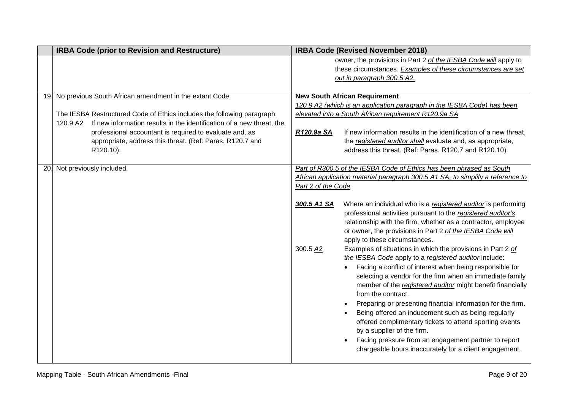|     | <b>IRBA Code (prior to Revision and Restructure)</b>                                                                                                                                                                                                                                                                                                             | <b>IRBA Code (Revised November 2018)</b>                                                                                                                                                                                                                                                                                                                                                                                                                                                                                                                                                                                                                                                                                                                                                                                                                                                                                                                                                                                                                                                                                                                                     |  |  |
|-----|------------------------------------------------------------------------------------------------------------------------------------------------------------------------------------------------------------------------------------------------------------------------------------------------------------------------------------------------------------------|------------------------------------------------------------------------------------------------------------------------------------------------------------------------------------------------------------------------------------------------------------------------------------------------------------------------------------------------------------------------------------------------------------------------------------------------------------------------------------------------------------------------------------------------------------------------------------------------------------------------------------------------------------------------------------------------------------------------------------------------------------------------------------------------------------------------------------------------------------------------------------------------------------------------------------------------------------------------------------------------------------------------------------------------------------------------------------------------------------------------------------------------------------------------------|--|--|
|     |                                                                                                                                                                                                                                                                                                                                                                  | owner, the provisions in Part 2 of the IESBA Code will apply to<br>these circumstances. Examples of these circumstances are set                                                                                                                                                                                                                                                                                                                                                                                                                                                                                                                                                                                                                                                                                                                                                                                                                                                                                                                                                                                                                                              |  |  |
|     |                                                                                                                                                                                                                                                                                                                                                                  | out in paragraph 300.5 A2.                                                                                                                                                                                                                                                                                                                                                                                                                                                                                                                                                                                                                                                                                                                                                                                                                                                                                                                                                                                                                                                                                                                                                   |  |  |
|     | 19. No previous South African amendment in the extant Code.<br>The IESBA Restructured Code of Ethics includes the following paragraph:<br>If new information results in the identification of a new threat, the<br>120.9 A2<br>professional accountant is required to evaluate and, as<br>appropriate, address this threat. (Ref: Paras. R120.7 and<br>R120.10). | <b>New South African Requirement</b><br>120.9 A2 (which is an application paragraph in the IESBA Code) has been<br>elevated into a South African requirement R120.9a SA<br>If new information results in the identification of a new threat.<br>R120.9a SA<br>the registered auditor shall evaluate and, as appropriate,<br>address this threat. (Ref: Paras. R120.7 and R120.10).                                                                                                                                                                                                                                                                                                                                                                                                                                                                                                                                                                                                                                                                                                                                                                                           |  |  |
| 20. | Not previously included.                                                                                                                                                                                                                                                                                                                                         | Part of R300.5 of the IESBA Code of Ethics has been phrased as South<br>African application material paragraph 300.5 A1 SA, to simplify a reference to<br>Part 2 of the Code<br>Where an individual who is a registered auditor is performing<br>300.5 A1 SA<br>professional activities pursuant to the registered auditor's<br>relationship with the firm, whether as a contractor, employee<br>or owner, the provisions in Part 2 of the IESBA Code will<br>apply to these circumstances.<br>300.5 A2<br>Examples of situations in which the provisions in Part 2 of<br>the IESBA Code apply to a registered auditor include:<br>Facing a conflict of interest when being responsible for<br>selecting a vendor for the firm when an immediate family<br>member of the registered auditor might benefit financially<br>from the contract.<br>Preparing or presenting financial information for the firm.<br>Being offered an inducement such as being regularly<br>offered complimentary tickets to attend sporting events<br>by a supplier of the firm.<br>Facing pressure from an engagement partner to report<br>chargeable hours inaccurately for a client engagement. |  |  |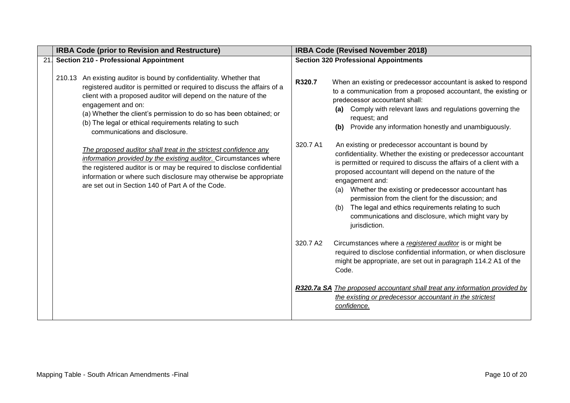|    | <b>IRBA Code (prior to Revision and Restructure)</b>                                                                                                                                                                                                                                                                                                                                                       | <b>IRBA Code (Revised November 2018)</b> |                                                                                                                                                                                                                                                                                                                                                                                                                                                                                                                              |  |
|----|------------------------------------------------------------------------------------------------------------------------------------------------------------------------------------------------------------------------------------------------------------------------------------------------------------------------------------------------------------------------------------------------------------|------------------------------------------|------------------------------------------------------------------------------------------------------------------------------------------------------------------------------------------------------------------------------------------------------------------------------------------------------------------------------------------------------------------------------------------------------------------------------------------------------------------------------------------------------------------------------|--|
| 21 | <b>Section 210 - Professional Appointment</b>                                                                                                                                                                                                                                                                                                                                                              |                                          | <b>Section 320 Professional Appointments</b>                                                                                                                                                                                                                                                                                                                                                                                                                                                                                 |  |
|    | 210.13 An existing auditor is bound by confidentiality. Whether that<br>registered auditor is permitted or required to discuss the affairs of a<br>client with a proposed auditor will depend on the nature of the<br>engagement and on:<br>(a) Whether the client's permission to do so has been obtained; or<br>(b) The legal or ethical requirements relating to such<br>communications and disclosure. | R320.7                                   | When an existing or predecessor accountant is asked to respond<br>to a communication from a proposed accountant, the existing or<br>predecessor accountant shall:<br>(a) Comply with relevant laws and regulations governing the<br>request; and<br>Provide any information honestly and unambiguously.<br>(b)                                                                                                                                                                                                               |  |
|    | The proposed auditor shall treat in the strictest confidence any<br>information provided by the existing auditor. Circumstances where<br>the registered auditor is or may be required to disclose confidential<br>information or where such disclosure may otherwise be appropriate<br>are set out in Section 140 of Part A of the Code.                                                                   | 320.7 A1                                 | An existing or predecessor accountant is bound by<br>confidentiality. Whether the existing or predecessor accountant<br>is permitted or required to discuss the affairs of a client with a<br>proposed accountant will depend on the nature of the<br>engagement and:<br>Whether the existing or predecessor accountant has<br>(a)<br>permission from the client for the discussion; and<br>The legal and ethics requirements relating to such<br>(b)<br>communications and disclosure, which might vary by<br>jurisdiction. |  |
|    |                                                                                                                                                                                                                                                                                                                                                                                                            | 320.7 A2                                 | Circumstances where a registered auditor is or might be<br>required to disclose confidential information, or when disclosure<br>might be appropriate, are set out in paragraph 114.2 A1 of the<br>Code.                                                                                                                                                                                                                                                                                                                      |  |
|    |                                                                                                                                                                                                                                                                                                                                                                                                            |                                          | R320.7a SA The proposed accountant shall treat any information provided by<br>the existing or predecessor accountant in the strictest<br>confidence.                                                                                                                                                                                                                                                                                                                                                                         |  |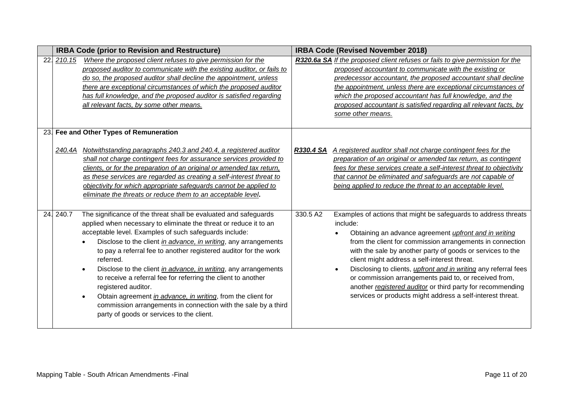|     | <b>IRBA Code (prior to Revision and Restructure)</b>                                                                                                                                                                                                                                                                                                                                                                                                                                                                                                                                                                                                                                                                    | <b>IRBA Code (Revised November 2018)</b>                                                                                                                                                                                                                                                                                                                                                                                                                                                                                                                                                                       |  |  |
|-----|-------------------------------------------------------------------------------------------------------------------------------------------------------------------------------------------------------------------------------------------------------------------------------------------------------------------------------------------------------------------------------------------------------------------------------------------------------------------------------------------------------------------------------------------------------------------------------------------------------------------------------------------------------------------------------------------------------------------------|----------------------------------------------------------------------------------------------------------------------------------------------------------------------------------------------------------------------------------------------------------------------------------------------------------------------------------------------------------------------------------------------------------------------------------------------------------------------------------------------------------------------------------------------------------------------------------------------------------------|--|--|
| 22. | Where the proposed client refuses to give permission for the<br>210.15<br>proposed auditor to communicate with the existing auditor, or fails to<br>do so, the proposed auditor shall decline the appointment, unless<br>there are exceptional circumstances of which the proposed auditor<br>has full knowledge, and the proposed auditor is satisfied regarding<br>all relevant facts, by some other means.                                                                                                                                                                                                                                                                                                           | R320.6a SA If the proposed client refuses or fails to give permission for the<br>proposed accountant to communicate with the existing or<br>predecessor accountant, the proposed accountant shall decline<br>the appointment, unless there are exceptional circumstances of<br>which the proposed accountant has full knowledge, and the<br>proposed accountant is satisfied regarding all relevant facts, by<br>some other means.                                                                                                                                                                             |  |  |
|     | 23. Fee and Other Types of Remuneration<br>Notwithstanding paragraphs 240.3 and 240.4, a registered auditor<br>240.4A<br>shall not charge contingent fees for assurance services provided to<br>clients, or for the preparation of an original or amended tax return,<br>as these services are regarded as creating a self-interest threat to<br>objectivity for which appropriate safeguards cannot be applied to<br>eliminate the threats or reduce them to an acceptable level.                                                                                                                                                                                                                                      | A registered auditor shall not charge contingent fees for the<br>R330.4 SA<br>preparation of an original or amended tax return, as contingent<br>fees for these services create a self-interest threat to objectivity<br>that cannot be eliminated and safeguards are not capable of<br>being applied to reduce the threat to an acceptable level.                                                                                                                                                                                                                                                             |  |  |
|     | 24. 240.7<br>The significance of the threat shall be evaluated and safeguards<br>applied when necessary to eliminate the threat or reduce it to an<br>acceptable level. Examples of such safeguards include:<br>Disclose to the client in advance, in writing, any arrangements<br>to pay a referral fee to another registered auditor for the work<br>referred.<br>Disclose to the client in advance, in writing, any arrangements<br>$\bullet$<br>to receive a referral fee for referring the client to another<br>registered auditor.<br>Obtain agreement in advance, in writing, from the client for<br>commission arrangements in connection with the sale by a third<br>party of goods or services to the client. | 330.5 A2<br>Examples of actions that might be safeguards to address threats<br>include:<br>Obtaining an advance agreement <i>upfront and in writing</i><br>from the client for commission arrangements in connection<br>with the sale by another party of goods or services to the<br>client might address a self-interest threat.<br>Disclosing to clients, <i>upfront and in writing</i> any referral fees<br>$\bullet$<br>or commission arrangements paid to, or received from,<br>another registered auditor or third party for recommending<br>services or products might address a self-interest threat. |  |  |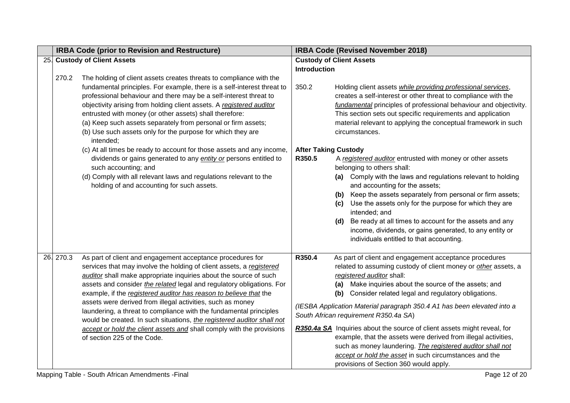| <b>IRBA Code (prior to Revision and Restructure)</b> |                                                                          | <b>IRBA Code (Revised November 2018)</b>                                                                                                                                                                                                                                                                                                                                                                                                                                                                                                                                                                                                                                                                                                                                                                                                                                                                                                                                                                                                                                      |                                                                                                                                            |  |
|------------------------------------------------------|--------------------------------------------------------------------------|-------------------------------------------------------------------------------------------------------------------------------------------------------------------------------------------------------------------------------------------------------------------------------------------------------------------------------------------------------------------------------------------------------------------------------------------------------------------------------------------------------------------------------------------------------------------------------------------------------------------------------------------------------------------------------------------------------------------------------------------------------------------------------------------------------------------------------------------------------------------------------------------------------------------------------------------------------------------------------------------------------------------------------------------------------------------------------|--------------------------------------------------------------------------------------------------------------------------------------------|--|
| 25. Custody of Client Assets                         |                                                                          | <b>Custody of Client Assets</b>                                                                                                                                                                                                                                                                                                                                                                                                                                                                                                                                                                                                                                                                                                                                                                                                                                                                                                                                                                                                                                               |                                                                                                                                            |  |
|                                                      |                                                                          |                                                                                                                                                                                                                                                                                                                                                                                                                                                                                                                                                                                                                                                                                                                                                                                                                                                                                                                                                                                                                                                                               |                                                                                                                                            |  |
|                                                      |                                                                          |                                                                                                                                                                                                                                                                                                                                                                                                                                                                                                                                                                                                                                                                                                                                                                                                                                                                                                                                                                                                                                                                               |                                                                                                                                            |  |
|                                                      |                                                                          |                                                                                                                                                                                                                                                                                                                                                                                                                                                                                                                                                                                                                                                                                                                                                                                                                                                                                                                                                                                                                                                                               | Holding client assets while providing professional services,                                                                               |  |
|                                                      |                                                                          |                                                                                                                                                                                                                                                                                                                                                                                                                                                                                                                                                                                                                                                                                                                                                                                                                                                                                                                                                                                                                                                                               | creates a self-interest or other threat to compliance with the                                                                             |  |
|                                                      |                                                                          |                                                                                                                                                                                                                                                                                                                                                                                                                                                                                                                                                                                                                                                                                                                                                                                                                                                                                                                                                                                                                                                                               | fundamental principles of professional behaviour and objectivity.                                                                          |  |
|                                                      |                                                                          |                                                                                                                                                                                                                                                                                                                                                                                                                                                                                                                                                                                                                                                                                                                                                                                                                                                                                                                                                                                                                                                                               | This section sets out specific requirements and application                                                                                |  |
|                                                      |                                                                          |                                                                                                                                                                                                                                                                                                                                                                                                                                                                                                                                                                                                                                                                                                                                                                                                                                                                                                                                                                                                                                                                               | material relevant to applying the conceptual framework in such                                                                             |  |
|                                                      | intended;                                                                |                                                                                                                                                                                                                                                                                                                                                                                                                                                                                                                                                                                                                                                                                                                                                                                                                                                                                                                                                                                                                                                                               | circumstances.                                                                                                                             |  |
|                                                      | (c) At all times be ready to account for those assets and any income,    |                                                                                                                                                                                                                                                                                                                                                                                                                                                                                                                                                                                                                                                                                                                                                                                                                                                                                                                                                                                                                                                                               | <b>After Taking Custody</b>                                                                                                                |  |
|                                                      | dividends or gains generated to any <i>entity or</i> persons entitled to | R350.5                                                                                                                                                                                                                                                                                                                                                                                                                                                                                                                                                                                                                                                                                                                                                                                                                                                                                                                                                                                                                                                                        | A registered auditor entrusted with money or other assets                                                                                  |  |
|                                                      | such accounting; and                                                     |                                                                                                                                                                                                                                                                                                                                                                                                                                                                                                                                                                                                                                                                                                                                                                                                                                                                                                                                                                                                                                                                               | belonging to others shall:                                                                                                                 |  |
|                                                      |                                                                          |                                                                                                                                                                                                                                                                                                                                                                                                                                                                                                                                                                                                                                                                                                                                                                                                                                                                                                                                                                                                                                                                               | (a) Comply with the laws and regulations relevant to holding                                                                               |  |
|                                                      |                                                                          |                                                                                                                                                                                                                                                                                                                                                                                                                                                                                                                                                                                                                                                                                                                                                                                                                                                                                                                                                                                                                                                                               | and accounting for the assets;                                                                                                             |  |
|                                                      |                                                                          |                                                                                                                                                                                                                                                                                                                                                                                                                                                                                                                                                                                                                                                                                                                                                                                                                                                                                                                                                                                                                                                                               | (b) Keep the assets separately from personal or firm assets;                                                                               |  |
|                                                      |                                                                          |                                                                                                                                                                                                                                                                                                                                                                                                                                                                                                                                                                                                                                                                                                                                                                                                                                                                                                                                                                                                                                                                               | (c) Use the assets only for the purpose for which they are                                                                                 |  |
|                                                      |                                                                          |                                                                                                                                                                                                                                                                                                                                                                                                                                                                                                                                                                                                                                                                                                                                                                                                                                                                                                                                                                                                                                                                               | intended; and                                                                                                                              |  |
|                                                      |                                                                          |                                                                                                                                                                                                                                                                                                                                                                                                                                                                                                                                                                                                                                                                                                                                                                                                                                                                                                                                                                                                                                                                               | Be ready at all times to account for the assets and any<br>(d)                                                                             |  |
|                                                      |                                                                          |                                                                                                                                                                                                                                                                                                                                                                                                                                                                                                                                                                                                                                                                                                                                                                                                                                                                                                                                                                                                                                                                               | income, dividends, or gains generated, to any entity or                                                                                    |  |
|                                                      |                                                                          |                                                                                                                                                                                                                                                                                                                                                                                                                                                                                                                                                                                                                                                                                                                                                                                                                                                                                                                                                                                                                                                                               | individuals entitled to that accounting.                                                                                                   |  |
| 26. 270.3                                            | As part of client and engagement acceptance procedures for               | R350.4                                                                                                                                                                                                                                                                                                                                                                                                                                                                                                                                                                                                                                                                                                                                                                                                                                                                                                                                                                                                                                                                        | As part of client and engagement acceptance procedures                                                                                     |  |
|                                                      | services that may involve the holding of client assets, a registered     |                                                                                                                                                                                                                                                                                                                                                                                                                                                                                                                                                                                                                                                                                                                                                                                                                                                                                                                                                                                                                                                                               | related to assuming custody of client money or other assets, a                                                                             |  |
|                                                      | auditor shall make appropriate inquiries about the source of such        |                                                                                                                                                                                                                                                                                                                                                                                                                                                                                                                                                                                                                                                                                                                                                                                                                                                                                                                                                                                                                                                                               | registered auditor shall:                                                                                                                  |  |
|                                                      |                                                                          |                                                                                                                                                                                                                                                                                                                                                                                                                                                                                                                                                                                                                                                                                                                                                                                                                                                                                                                                                                                                                                                                               | (a) Make inquiries about the source of the assets; and                                                                                     |  |
|                                                      |                                                                          |                                                                                                                                                                                                                                                                                                                                                                                                                                                                                                                                                                                                                                                                                                                                                                                                                                                                                                                                                                                                                                                                               | (b) Consider related legal and regulatory obligations.                                                                                     |  |
|                                                      |                                                                          |                                                                                                                                                                                                                                                                                                                                                                                                                                                                                                                                                                                                                                                                                                                                                                                                                                                                                                                                                                                                                                                                               | (IESBA Application Material paragraph 350.4 A1 has been elevated into a                                                                    |  |
|                                                      |                                                                          |                                                                                                                                                                                                                                                                                                                                                                                                                                                                                                                                                                                                                                                                                                                                                                                                                                                                                                                                                                                                                                                                               | South African requirement R350.4a SA)                                                                                                      |  |
|                                                      |                                                                          |                                                                                                                                                                                                                                                                                                                                                                                                                                                                                                                                                                                                                                                                                                                                                                                                                                                                                                                                                                                                                                                                               |                                                                                                                                            |  |
|                                                      |                                                                          |                                                                                                                                                                                                                                                                                                                                                                                                                                                                                                                                                                                                                                                                                                                                                                                                                                                                                                                                                                                                                                                                               | R350.4a SA Inquiries about the source of client assets might reveal, for<br>example, that the assets were derived from illegal activities, |  |
|                                                      |                                                                          |                                                                                                                                                                                                                                                                                                                                                                                                                                                                                                                                                                                                                                                                                                                                                                                                                                                                                                                                                                                                                                                                               | such as money laundering. The registered auditor shall not                                                                                 |  |
|                                                      |                                                                          |                                                                                                                                                                                                                                                                                                                                                                                                                                                                                                                                                                                                                                                                                                                                                                                                                                                                                                                                                                                                                                                                               | accept or hold the asset in such circumstances and the                                                                                     |  |
|                                                      |                                                                          |                                                                                                                                                                                                                                                                                                                                                                                                                                                                                                                                                                                                                                                                                                                                                                                                                                                                                                                                                                                                                                                                               | provisions of Section 360 would apply.                                                                                                     |  |
|                                                      | 270.2                                                                    | The holding of client assets creates threats to compliance with the<br>fundamental principles. For example, there is a self-interest threat to<br>professional behaviour and there may be a self-interest threat to<br>objectivity arising from holding client assets. A registered auditor<br>entrusted with money (or other assets) shall therefore:<br>(a) Keep such assets separately from personal or firm assets;<br>(b) Use such assets only for the purpose for which they are<br>(d) Comply with all relevant laws and regulations relevant to the<br>holding of and accounting for such assets.<br>assets and consider the related legal and regulatory obligations. For<br>example, if the registered auditor has reason to believe that the<br>assets were derived from illegal activities, such as money<br>laundering, a threat to compliance with the fundamental principles<br>would be created. In such situations, the registered auditor shall not<br>accept or hold the client assets and shall comply with the provisions<br>of section 225 of the Code. | <b>Introduction</b><br>350.2                                                                                                               |  |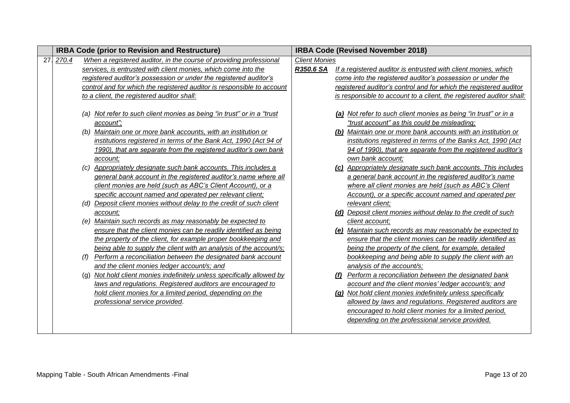| <b>IRBA Code (prior to Revision and Restructure)</b> |     |                                                                                                                                                                                                                                                                                                | <b>IRBA Code (Revised November 2018)</b> |  |                                                                                                                                                                                                                                                                                                                  |
|------------------------------------------------------|-----|------------------------------------------------------------------------------------------------------------------------------------------------------------------------------------------------------------------------------------------------------------------------------------------------|------------------------------------------|--|------------------------------------------------------------------------------------------------------------------------------------------------------------------------------------------------------------------------------------------------------------------------------------------------------------------|
| 27. 270.4                                            |     | When a registered auditor, in the course of providing professional                                                                                                                                                                                                                             | <b>Client Monies</b>                     |  |                                                                                                                                                                                                                                                                                                                  |
|                                                      |     | services, is entrusted with client monies, which come into the                                                                                                                                                                                                                                 | R350.6 SA                                |  | If a registered auditor is entrusted with client monies, which                                                                                                                                                                                                                                                   |
|                                                      |     | registered auditor's possession or under the registered auditor's                                                                                                                                                                                                                              |                                          |  | come into the registered auditor's possession or under the                                                                                                                                                                                                                                                       |
|                                                      |     | control and for which the registered auditor is responsible to account                                                                                                                                                                                                                         |                                          |  | registered auditor's control and for which the registered auditor                                                                                                                                                                                                                                                |
|                                                      |     | to a client, the registered auditor shall:                                                                                                                                                                                                                                                     |                                          |  | is responsible to account to a client, the registered auditor shall:                                                                                                                                                                                                                                             |
|                                                      |     | (a) Not refer to such client monies as being "in trust" or in a "trust"<br>account";<br>(b) Maintain one or more bank accounts, with an institution or<br>institutions registered in terms of the Bank Act, 1990 (Act 94 of<br>1990), that are separate from the registered auditor's own bank |                                          |  | (a) Not refer to such client monies as being "in trust" or in a<br>"trust account" as this could be misleading;<br>(b) Maintain one or more bank accounts with an institution or<br>institutions registered in terms of the Banks Act, 1990 (Act<br>94 of 1990), that are separate from the registered auditor's |
|                                                      |     | account;                                                                                                                                                                                                                                                                                       |                                          |  | own bank account;                                                                                                                                                                                                                                                                                                |
|                                                      |     | (c) Appropriately designate such bank accounts. This includes a                                                                                                                                                                                                                                |                                          |  | (c) Appropriately designate such bank accounts. This includes                                                                                                                                                                                                                                                    |
|                                                      |     | general bank account in the registered auditor's name where all                                                                                                                                                                                                                                |                                          |  | a general bank account in the registered auditor's name                                                                                                                                                                                                                                                          |
|                                                      |     | client monies are held (such as ABC's Client Account), or a                                                                                                                                                                                                                                    |                                          |  | where all client monies are held (such as ABC's Client                                                                                                                                                                                                                                                           |
|                                                      |     | specific account named and operated per relevant client;                                                                                                                                                                                                                                       |                                          |  | Account), or a specific account named and operated per                                                                                                                                                                                                                                                           |
|                                                      |     | (d) Deposit client monies without delay to the credit of such client                                                                                                                                                                                                                           |                                          |  | relevant client;                                                                                                                                                                                                                                                                                                 |
|                                                      |     | account:                                                                                                                                                                                                                                                                                       |                                          |  | (d) Deposit client monies without delay to the credit of such                                                                                                                                                                                                                                                    |
|                                                      |     | (e) Maintain such records as may reasonably be expected to                                                                                                                                                                                                                                     |                                          |  | client account;                                                                                                                                                                                                                                                                                                  |
|                                                      |     | ensure that the client monies can be readily identified as being                                                                                                                                                                                                                               |                                          |  | (e) Maintain such records as may reasonably be expected to                                                                                                                                                                                                                                                       |
|                                                      |     | the property of the client, for example proper bookkeeping and                                                                                                                                                                                                                                 |                                          |  | ensure that the client monies can be readily identified as                                                                                                                                                                                                                                                       |
|                                                      |     | being able to supply the client with an analysis of the account/s;                                                                                                                                                                                                                             |                                          |  | being the property of the client, for example, detailed                                                                                                                                                                                                                                                          |
|                                                      |     | Perform a reconciliation between the designated bank account                                                                                                                                                                                                                                   |                                          |  | bookkeeping and being able to supply the client with an                                                                                                                                                                                                                                                          |
|                                                      |     | and the client monies ledger account/s; and                                                                                                                                                                                                                                                    |                                          |  | analysis of the account/s;                                                                                                                                                                                                                                                                                       |
|                                                      | (q) | Not hold client monies indefinitely unless specifically allowed by                                                                                                                                                                                                                             |                                          |  | Perform a reconciliation between the designated bank                                                                                                                                                                                                                                                             |
|                                                      |     | laws and regulations. Registered auditors are encouraged to                                                                                                                                                                                                                                    |                                          |  | account and the client monies' ledger account/s; and                                                                                                                                                                                                                                                             |
|                                                      |     | hold client monies for a limited period, depending on the                                                                                                                                                                                                                                      |                                          |  | (g) Not hold client monies indefinitely unless specifically                                                                                                                                                                                                                                                      |
|                                                      |     | professional service provided.                                                                                                                                                                                                                                                                 |                                          |  | allowed by laws and regulations. Registered auditors are                                                                                                                                                                                                                                                         |
|                                                      |     |                                                                                                                                                                                                                                                                                                |                                          |  | encouraged to hold client monies for a limited period,                                                                                                                                                                                                                                                           |
|                                                      |     |                                                                                                                                                                                                                                                                                                |                                          |  | depending on the professional service provided.                                                                                                                                                                                                                                                                  |
|                                                      |     |                                                                                                                                                                                                                                                                                                |                                          |  |                                                                                                                                                                                                                                                                                                                  |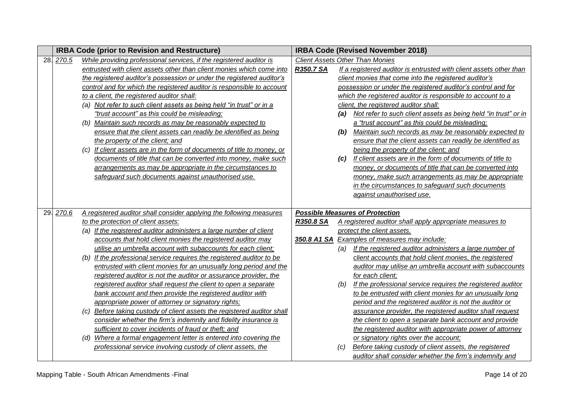|           | <b>IRBA Code (prior to Revision and Restructure)</b>                    |           |     | <b>IRBA Code (Revised November 2018)</b>                           |
|-----------|-------------------------------------------------------------------------|-----------|-----|--------------------------------------------------------------------|
| 28. 270.5 | While providing professional services, if the registered auditor is     |           |     | <b>Client Assets Other Than Monies</b>                             |
|           | entrusted with client assets other than client monies which come into   | R350.7 SA |     | If a registered auditor is entrusted with client assets other than |
|           | the registered auditor's possession or under the registered auditor's   |           |     | client monies that come into the registered auditor's              |
|           | control and for which the registered auditor is responsible to account  |           |     | possession or under the registered auditor's control and for       |
|           | to a client, the registered auditor shall:                              |           |     | which the registered auditor is responsible to account to a        |
|           | (a) Not refer to such client assets as being held "in trust" or in a    |           |     | client, the registered auditor shall:                              |
|           | "trust account" as this could be misleading;                            |           | (a) | Not refer to such client assets as being held "in trust" or in     |
|           | (b) Maintain such records as may be reasonably expected to              |           |     | a "trust account" as this could be misleading;                     |
|           | ensure that the client assets can readily be identified as being        |           | (b) | Maintain such records as may be reasonably expected to             |
|           | the property of the client; and                                         |           |     | ensure that the client assets can readily be identified as         |
|           | (c) If client assets are in the form of documents of title to money, or |           |     | being the property of the client; and                              |
|           | documents of title that can be converted into money, make such          |           | (C) | If client assets are in the form of documents of title to          |
|           | arrangements as may be appropriate in the circumstances to              |           |     | money, or documents of title that can be converted into            |
|           | safeguard such documents against unauthorised use.                      |           |     | money, make such arrangements as may be appropriate                |
|           |                                                                         |           |     | in the circumstances to safeguard such documents                   |
|           |                                                                         |           |     | against unauthorised use.                                          |
|           |                                                                         |           |     |                                                                    |
| 29. 270.6 | A registered auditor shall consider applying the following measures     |           |     | <b>Possible Measures of Protection</b>                             |
|           | to the protection of client assets:                                     | R350.8 SA |     | A registered auditor shall apply appropriate measures to           |
|           | (a) If the registered auditor administers a large number of client      |           |     | protect the client assets.                                         |
|           | accounts that hold client monies the registered auditor may             |           |     | 350.8 A1 SA Examples of measures may include:                      |
|           | utilise an umbrella account with subaccounts for each client;           |           |     | If the registered auditor administers a large number of            |
|           | (b) If the professional service requires the registered auditor to be   |           |     | client accounts that hold client monies, the registered            |
|           | entrusted with client monies for an unusually long period and the       |           |     | auditor may utilise an umbrella account with subaccounts           |
|           |                                                                         |           |     |                                                                    |
|           | registered auditor is not the auditor or assurance provider, the        |           |     | for each client;                                                   |
|           | registered auditor shall request the client to open a separate          |           | (b) | If the professional service requires the registered auditor        |
|           | bank account and then provide the registered auditor with               |           |     | to be entrusted with client monies for an unusually long           |
|           | appropriate power of attorney or signatory rights;                      |           |     | period and the registered auditor is not the auditor or            |
|           | (c) Before taking custody of client assets the registered auditor shall |           |     | assurance provider, the registered auditor shall request           |
|           | consider whether the firm's indemnity and fidelity insurance is         |           |     | the client to open a separate bank account and provide             |
|           | sufficient to cover incidents of fraud or theft; and                    |           |     | the registered auditor with appropriate power of attorney          |
|           | (d) Where a formal engagement letter is entered into covering the       |           |     | or signatory rights over the account;                              |
|           | professional service involving custody of client assets, the            |           | (C) | Before taking custody of client assets, the registered             |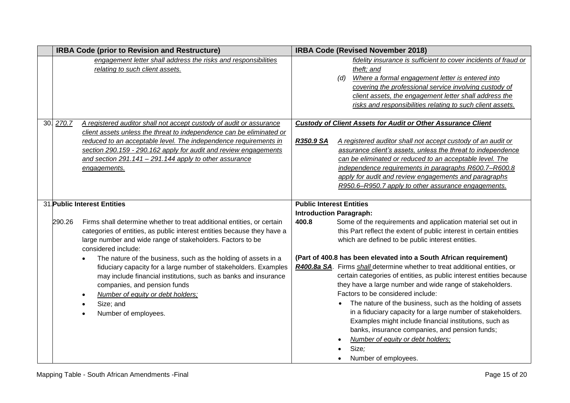|           | <b>IRBA Code (prior to Revision and Restructure)</b>                              |                                 | <b>IRBA Code (Revised November 2018)</b>                                   |
|-----------|-----------------------------------------------------------------------------------|---------------------------------|----------------------------------------------------------------------------|
|           | engagement letter shall address the risks and responsibilities                    |                                 | fidelity insurance is sufficient to cover incidents of fraud or            |
|           | relating to such client assets.                                                   |                                 | theft; and                                                                 |
|           |                                                                                   |                                 | Where a formal engagement letter is entered into<br>(d)                    |
|           |                                                                                   |                                 | covering the professional service involving custody of                     |
|           |                                                                                   |                                 | client assets, the engagement letter shall address the                     |
|           |                                                                                   |                                 | risks and responsibilities relating to such client assets.                 |
|           |                                                                                   |                                 |                                                                            |
| 30. 270.7 | A registered auditor shall not accept custody of audit or assurance               |                                 | <b>Custody of Client Assets for Audit or Other Assurance Client</b>        |
|           | client assets unless the threat to independence can be eliminated or              |                                 |                                                                            |
|           | reduced to an acceptable level. The independence requirements in                  | R350.9 SA                       | A registered auditor shall not accept custody of an audit or               |
|           | section 290.159 - 290.162 apply for audit and review engagements                  |                                 | assurance client's assets, unless the threat to independence               |
|           | and section 291.141 - 291.144 apply to other assurance                            |                                 | can be eliminated or reduced to an acceptable level. The                   |
|           | engagements.                                                                      |                                 | independence requirements in paragraphs R600.7-R600.8                      |
|           |                                                                                   |                                 | apply for audit and review engagements and paragraphs                      |
|           |                                                                                   |                                 | R950.6-R950.7 apply to other assurance engagements.                        |
|           |                                                                                   |                                 |                                                                            |
|           | 31 Public Interest Entities                                                       | <b>Public Interest Entities</b> |                                                                            |
|           |                                                                                   |                                 | <b>Introduction Paragraph:</b>                                             |
| 290.26    | Firms shall determine whether to treat additional entities, or certain            | 400.8                           | Some of the requirements and application material set out in               |
|           | categories of entities, as public interest entities because they have a           |                                 | this Part reflect the extent of public interest in certain entities        |
|           | large number and wide range of stakeholders. Factors to be<br>considered include: |                                 | which are defined to be public interest entities.                          |
|           | The nature of the business, such as the holding of assets in a                    |                                 | (Part of 400.8 has been elevated into a South African requirement)         |
|           | fiduciary capacity for a large number of stakeholders. Examples                   |                                 | R400.8a SA. Firms shall determine whether to treat additional entities, or |
|           | may include financial institutions, such as banks and insurance                   |                                 | certain categories of entities, as public interest entities because        |
|           | companies, and pension funds                                                      |                                 | they have a large number and wide range of stakeholders.                   |
|           | Number of equity or debt holders;                                                 |                                 | Factors to be considered include:                                          |
|           | Size; and                                                                         |                                 | The nature of the business, such as the holding of assets                  |
|           | Number of employees.                                                              |                                 | in a fiduciary capacity for a large number of stakeholders.                |
|           |                                                                                   |                                 | Examples might include financial institutions, such as                     |
|           |                                                                                   |                                 | banks, insurance companies, and pension funds;                             |
|           |                                                                                   |                                 | Number of equity or debt holders;                                          |
|           |                                                                                   |                                 | Size;                                                                      |
|           |                                                                                   |                                 | Number of employees.                                                       |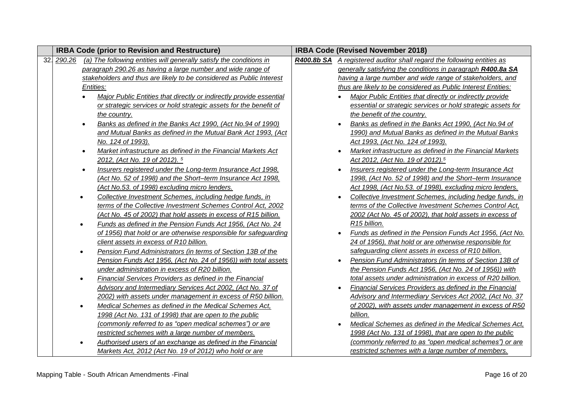| <b>IRBA Code (prior to Revision and Restructure)</b> |           |                                                                                | <b>IRBA Code (Revised November 2018)</b> |           |                                                                               |
|------------------------------------------------------|-----------|--------------------------------------------------------------------------------|------------------------------------------|-----------|-------------------------------------------------------------------------------|
|                                                      |           | 32. 290.26 (a) The following entities will generally satisfy the conditions in |                                          |           | <b>R400.8b SA</b> A registered auditor shall regard the following entities as |
|                                                      |           | paragraph 290.26 as having a large number and wide range of                    |                                          |           | generally satisfying the conditions in paragraph R400.8a SA                   |
|                                                      |           | stakeholders and thus are likely to be considered as Public Interest           |                                          |           | having a large number and wide range of stakeholders, and                     |
|                                                      |           | Entities:                                                                      |                                          |           | thus are likely to be considered as Public Interest Entities:                 |
|                                                      |           | Major Public Entities that directly or indirectly provide essential            |                                          |           | Major Public Entities that directly or indirectly provide                     |
|                                                      |           | or strategic services or hold strategic assets for the benefit of              |                                          |           | essential or strategic services or hold strategic assets for                  |
|                                                      |           | the country.                                                                   |                                          |           | the benefit of the country.                                                   |
|                                                      | $\bullet$ | Banks as defined in the Banks Act 1990, (Act No.94 of 1990)                    |                                          |           | Banks as defined in the Banks Act 1990, (Act No.94 of                         |
|                                                      |           | and Mutual Banks as defined in the Mutual Bank Act 1993, (Act                  |                                          |           | 1990) and Mutual Banks as defined in the Mutual Banks                         |
|                                                      |           | No. 124 of 1993).                                                              |                                          |           | Act 1993, (Act No. 124 of 1993).                                              |
|                                                      | $\bullet$ | Market infrastructure as defined in the Financial Markets Act                  |                                          |           | Market infrastructure as defined in the Financial Markets                     |
|                                                      |           | 2012, (Act No. 19 of 2012). 5                                                  |                                          |           | Act 2012, (Act No. 19 of 2012). <sup>5</sup>                                  |
|                                                      | $\bullet$ | Insurers registered under the Long-term Insurance Act 1998,                    |                                          | $\bullet$ | Insurers registered under the Long-term Insurance Act                         |
|                                                      |           | (Act No. 52 of 1998) and the Short-term Insurance Act 1998,                    |                                          |           | 1998, (Act No. 52 of 1998) and the Short-term Insurance                       |
|                                                      |           | (Act No.53. of 1998) excluding micro lenders.                                  |                                          |           | Act 1998, (Act No.53. of 1998), excluding micro lenders.                      |
|                                                      | $\bullet$ | Collective Investment Schemes, including hedge funds, in                       |                                          |           | Collective Investment Schemes, including hedge funds, in                      |
|                                                      |           | terms of the Collective Investment Schemes Control Act, 2002                   |                                          |           | terms of the Collective Investment Schemes Control Act,                       |
|                                                      |           | (Act No. 45 of 2002) that hold assets in excess of R15 billion.                |                                          |           | 2002 (Act No. 45 of 2002), that hold assets in excess of                      |
|                                                      | $\bullet$ | Funds as defined in the Pension Funds Act 1956, (Act No. 24                    |                                          |           | R15 billion.                                                                  |
|                                                      |           | of 1956) that hold or are otherwise responsible for safeguarding               |                                          |           | Funds as defined in the Pension Funds Act 1956, (Act No.                      |
|                                                      |           | client assets in excess of R10 billion.                                        |                                          |           | 24 of 1956), that hold or are otherwise responsible for                       |
|                                                      |           | Pension Fund Administrators (in terms of Section 13B of the                    |                                          |           | safeguarding client assets in excess of R10 billion.                          |
|                                                      |           | Pension Funds Act 1956, (Act No. 24 of 1956)) with total assets                |                                          |           | Pension Fund Administrators (in terms of Section 13B of                       |
|                                                      |           | under administration in excess of R20 billion.                                 |                                          |           | the Pension Funds Act 1956, (Act No. 24 of 1956)) with                        |
|                                                      |           | Financial Services Providers as defined in the Financial                       |                                          |           | total assets under administration in excess of R20 billion.                   |
|                                                      |           | Advisory and Intermediary Services Act 2002, (Act No. 37 of                    |                                          |           | Financial Services Providers as defined in the Financial                      |
|                                                      |           | 2002) with assets under management in excess of R50 billion.                   |                                          |           | Advisory and Intermediary Services Act 2002, (Act No. 37                      |
|                                                      |           | Medical Schemes as defined in the Medical Schemes Act,                         |                                          |           | of 2002), with assets under management in excess of R50                       |
|                                                      |           | 1998 (Act No. 131 of 1998) that are open to the public                         |                                          |           | billion.                                                                      |
|                                                      |           | (commonly referred to as "open medical schemes") or are                        |                                          |           | Medical Schemes as defined in the Medical Schemes Act.                        |
|                                                      |           | restricted schemes with a large number of members.                             |                                          |           | 1998 (Act No. 131 of 1998), that are open to the public                       |
|                                                      |           | Authorised users of an exchange as defined in the Financial                    |                                          |           | (commonly referred to as "open medical schemes") or are                       |
|                                                      |           | Markets Act, 2012 (Act No. 19 of 2012) who hold or are                         |                                          |           | restricted schemes with a large number of members.                            |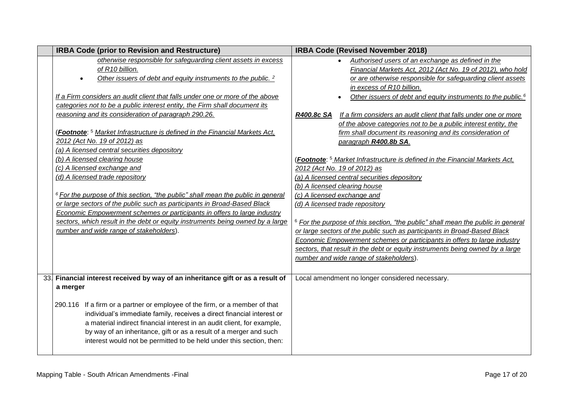| <b>IRBA Code (prior to Revision and Restructure)</b>                                                                                       | <b>IRBA Code (Revised November 2018)</b>                                                    |
|--------------------------------------------------------------------------------------------------------------------------------------------|---------------------------------------------------------------------------------------------|
| otherwise responsible for safeguarding client assets in excess                                                                             | • Authorised users of an exchange as defined in the                                         |
| of R10 billion.                                                                                                                            | Financial Markets Act, 2012 (Act No. 19 of 2012), who hold                                  |
| Other issuers of debt and equity instruments to the public. <sup>2</sup>                                                                   | or are otherwise responsible for safeguarding client assets                                 |
|                                                                                                                                            | in excess of R10 billion.                                                                   |
| If a Firm considers an audit client that falls under one or more of the above                                                              | Other issuers of debt and equity instruments to the public. <sup>6</sup>                    |
| categories not to be a public interest entity, the Firm shall document its                                                                 |                                                                                             |
| reasoning and its consideration of paragraph 290.26.                                                                                       | If a firm considers an audit client that falls under one or more<br>R400.8c SA              |
|                                                                                                                                            | of the above categories not to be a public interest entity, the                             |
| (Footnote: <sup>5</sup> Market Infrastructure is defined in the Financial Markets Act,                                                     | firm shall document its reasoning and its consideration of                                  |
| 2012 (Act No. 19 of 2012) as                                                                                                               | paragraph R400.8b SA.                                                                       |
| (a) A licensed central securities depository                                                                                               |                                                                                             |
| (b) A licensed clearing house                                                                                                              | (Footnote: <sup>5</sup> Market Infrastructure is defined in the Financial Markets Act,      |
| (c) A licensed exchange and                                                                                                                | 2012 (Act No. 19 of 2012) as                                                                |
| (d) A licensed trade repository                                                                                                            | (a) A licensed central securities depository                                                |
|                                                                                                                                            | (b) A licensed clearing house                                                               |
| $6$ For the purpose of this section, "the public" shall mean the public in general                                                         | (c) A licensed exchange and                                                                 |
| or large sectors of the public such as participants in Broad-Based Black                                                                   | (d) A licensed trade repository                                                             |
| <b>Economic Empowerment schemes or participants in offers to large industry</b>                                                            |                                                                                             |
| sectors, which result in the debt or equity instruments being owned by a large                                                             | <sup>6</sup> For the purpose of this section, "the public" shall mean the public in general |
| number and wide range of stakeholders).                                                                                                    | or large sectors of the public such as participants in Broad-Based Black                    |
|                                                                                                                                            | Economic Empowerment schemes or participants in offers to large industry                    |
|                                                                                                                                            | sectors, that result in the debt or equity instruments being owned by a large               |
|                                                                                                                                            | number and wide range of stakeholders).                                                     |
|                                                                                                                                            |                                                                                             |
| 33. Financial interest received by way of an inheritance gift or as a result of                                                            | Local amendment no longer considered necessary.                                             |
| a merger                                                                                                                                   |                                                                                             |
|                                                                                                                                            |                                                                                             |
| 290.116 If a firm or a partner or employee of the firm, or a member of that                                                                |                                                                                             |
| individual's immediate family, receives a direct financial interest or                                                                     |                                                                                             |
| a material indirect financial interest in an audit client, for example,                                                                    |                                                                                             |
| by way of an inheritance, gift or as a result of a merger and such<br>interest would not be permitted to be held under this section, then: |                                                                                             |
|                                                                                                                                            |                                                                                             |
|                                                                                                                                            |                                                                                             |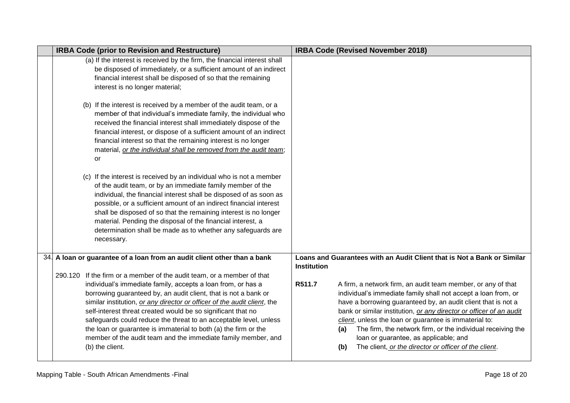|     | <b>IRBA Code (prior to Revision and Restructure)</b>                                                                                                                                                                                                                                                                                                                                                                                                                                                    | <b>IRBA Code (Revised November 2018)</b>                                                                                                                                                                                                                                                                                                                                                                                                                                                                                  |
|-----|---------------------------------------------------------------------------------------------------------------------------------------------------------------------------------------------------------------------------------------------------------------------------------------------------------------------------------------------------------------------------------------------------------------------------------------------------------------------------------------------------------|---------------------------------------------------------------------------------------------------------------------------------------------------------------------------------------------------------------------------------------------------------------------------------------------------------------------------------------------------------------------------------------------------------------------------------------------------------------------------------------------------------------------------|
|     | (a) If the interest is received by the firm, the financial interest shall<br>be disposed of immediately, or a sufficient amount of an indirect<br>financial interest shall be disposed of so that the remaining<br>interest is no longer material;                                                                                                                                                                                                                                                      |                                                                                                                                                                                                                                                                                                                                                                                                                                                                                                                           |
|     | (b) If the interest is received by a member of the audit team, or a<br>member of that individual's immediate family, the individual who<br>received the financial interest shall immediately dispose of the<br>financial interest, or dispose of a sufficient amount of an indirect<br>financial interest so that the remaining interest is no longer<br>material, or the individual shall be removed from the audit team;<br>or                                                                        |                                                                                                                                                                                                                                                                                                                                                                                                                                                                                                                           |
|     | (c) If the interest is received by an individual who is not a member<br>of the audit team, or by an immediate family member of the<br>individual, the financial interest shall be disposed of as soon as<br>possible, or a sufficient amount of an indirect financial interest<br>shall be disposed of so that the remaining interest is no longer<br>material. Pending the disposal of the financial interest, a<br>determination shall be made as to whether any safeguards are<br>necessary.         |                                                                                                                                                                                                                                                                                                                                                                                                                                                                                                                           |
| 34. | A loan or guarantee of a loan from an audit client other than a bank<br>290.120 If the firm or a member of the audit team, or a member of that                                                                                                                                                                                                                                                                                                                                                          | Loans and Guarantees with an Audit Client that is Not a Bank or Similar<br><b>Institution</b>                                                                                                                                                                                                                                                                                                                                                                                                                             |
|     | individual's immediate family, accepts a loan from, or has a<br>borrowing guaranteed by, an audit client, that is not a bank or<br>similar institution, or any director or officer of the audit client, the<br>self-interest threat created would be so significant that no<br>safeguards could reduce the threat to an acceptable level, unless<br>the loan or guarantee is immaterial to both (a) the firm or the<br>member of the audit team and the immediate family member, and<br>(b) the client. | R511.7<br>A firm, a network firm, an audit team member, or any of that<br>individual's immediate family shall not accept a loan from, or<br>have a borrowing guaranteed by, an audit client that is not a<br>bank or similar institution, or any director or officer of an audit<br>client, unless the loan or guarantee is immaterial to:<br>The firm, the network firm, or the individual receiving the<br>(a)<br>loan or guarantee, as applicable; and<br>The client, or the director or officer of the client.<br>(b) |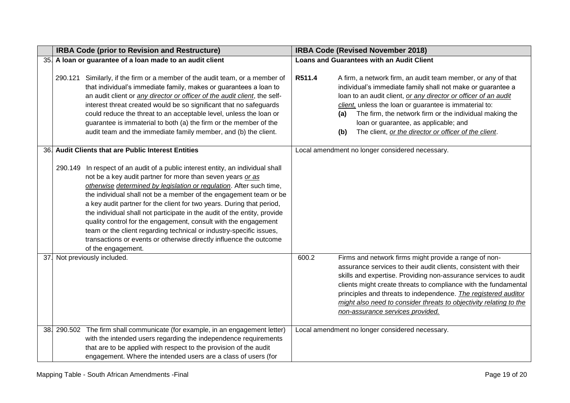|     | <b>IRBA Code (prior to Revision and Restructure)</b>                                                                                                                                                                                                                                                                                                                                                                                                                                                                                                                                                                                                                                    | <b>IRBA Code (Revised November 2018)</b>                                                                                                                                                                                                                                                                                                                                                                                                             |  |  |
|-----|-----------------------------------------------------------------------------------------------------------------------------------------------------------------------------------------------------------------------------------------------------------------------------------------------------------------------------------------------------------------------------------------------------------------------------------------------------------------------------------------------------------------------------------------------------------------------------------------------------------------------------------------------------------------------------------------|------------------------------------------------------------------------------------------------------------------------------------------------------------------------------------------------------------------------------------------------------------------------------------------------------------------------------------------------------------------------------------------------------------------------------------------------------|--|--|
|     | 35. A loan or guarantee of a loan made to an audit client                                                                                                                                                                                                                                                                                                                                                                                                                                                                                                                                                                                                                               | <b>Loans and Guarantees with an Audit Client</b>                                                                                                                                                                                                                                                                                                                                                                                                     |  |  |
|     | 290.121 Similarly, if the firm or a member of the audit team, or a member of<br>that individual's immediate family, makes or guarantees a loan to<br>an audit client or <i>any director or officer of the audit client</i> , the self-<br>interest threat created would be so significant that no safeguards<br>could reduce the threat to an acceptable level, unless the loan or<br>guarantee is immaterial to both (a) the firm or the member of the<br>audit team and the immediate family member, and (b) the client.                                                                                                                                                              | R511.4<br>A firm, a network firm, an audit team member, or any of that<br>individual's immediate family shall not make or guarantee a<br>loan to an audit client, or any director or officer of an audit<br>client, unless the loan or guarantee is immaterial to:<br>The firm, the network firm or the individual making the<br>(a)<br>loan or guarantee, as applicable; and<br>The client, or the director or officer of the client.<br>(b)        |  |  |
|     | 36. Audit Clients that are Public Interest Entities                                                                                                                                                                                                                                                                                                                                                                                                                                                                                                                                                                                                                                     | Local amendment no longer considered necessary.                                                                                                                                                                                                                                                                                                                                                                                                      |  |  |
|     | In respect of an audit of a public interest entity, an individual shall<br>290.149<br>not be a key audit partner for more than seven years or as<br>otherwise determined by legislation or regulation. After such time,<br>the individual shall not be a member of the engagement team or be<br>a key audit partner for the client for two years. During that period,<br>the individual shall not participate in the audit of the entity, provide<br>quality control for the engagement, consult with the engagement<br>team or the client regarding technical or industry-specific issues,<br>transactions or events or otherwise directly influence the outcome<br>of the engagement. |                                                                                                                                                                                                                                                                                                                                                                                                                                                      |  |  |
| 37. | Not previously included.                                                                                                                                                                                                                                                                                                                                                                                                                                                                                                                                                                                                                                                                | 600.2<br>Firms and network firms might provide a range of non-<br>assurance services to their audit clients, consistent with their<br>skills and expertise. Providing non-assurance services to audit<br>clients might create threats to compliance with the fundamental<br>principles and threats to independence. The registered auditor<br>might also need to consider threats to objectivity relating to the<br>non-assurance services provided. |  |  |
|     | 38. 290.502 The firm shall communicate (for example, in an engagement letter)<br>with the intended users regarding the independence requirements<br>that are to be applied with respect to the provision of the audit<br>engagement. Where the intended users are a class of users (for                                                                                                                                                                                                                                                                                                                                                                                                 | Local amendment no longer considered necessary.                                                                                                                                                                                                                                                                                                                                                                                                      |  |  |